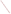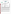#### **THE ENVIRONMENTAL TECHNOLOGY VERIFICATION PROGRAM**







# **ETV Joint Verification Statement**

|                                      | TECHNOLOGY TYPE: ARSENIC TEST KIT                         |                                                          |  |  |
|--------------------------------------|-----------------------------------------------------------|----------------------------------------------------------|--|--|
| <b>APPLICATION:</b>                  | <b>ANALYSIS OF ARSENIC IN WATER</b>                       |                                                          |  |  |
|                                      | TECHNOLOGY NAME: Quick <sup>TM</sup> Low Range II         |                                                          |  |  |
| <b>COMPANY:</b>                      | <b>Industrial Test Systems, Inc.</b>                      |                                                          |  |  |
| <b>ADDRESS:</b>                      | <b>1875 Langston Street</b><br><b>Rock Hill, SC 29730</b> | PHONE: (803) 329-9712<br>$(803)$ 329-9743<br><b>FAX:</b> |  |  |
| <b>WEB SITE:</b><br>$E\text{-}MAIL:$ | www.sensafe.com<br>its@cetlink.net                        |                                                          |  |  |

The U.S. Environmental Protection Agency (EPA) supports the Environmental Technology Verification (ETV) Program to facilitate the deployment of innovative or improved environmental technologies through performance verification and dissemination of information. The goal of the ETV Program is to further environmental protection by substantially accelerating the acceptance and use of improved and cost-effective technologies. ETV seeks to achieve this goal by providing high-quality, peer-reviewed data on technology performance to those involved in the design, distribution, financing, permitting, purchase, and use of environmental technologies.

ETV works in partnership with recognized standards and testing organizations; with stakeholder groups that consist of buyers, vendor organizations, and permitters; and with the full participation of individual technology developers. The program evaluates the performance of innovative technologies by developing test plans that are responsive to the needs of stakeholders, conducting field or laboratory tests (as appropriate), collecting and analyzing data, and preparing peer-reviewed reports. All evaluations are conducted in accordance with rigorous quality assurance (QA) protocols to ensure that data of known and adequate quality are generated and that the results are defensible.

The Advanced Monitoring Systems (AMS) Center, one of seven technology areas under ETV, is operated by Battelle in cooperation with EPA's National Exposure Research Laboratory. The AMS Center has recently evaluated the performance of portable analyzers for arsenic in water. This verification statement provides a summary of the test results for the Industrial Test Systems, Inc. Quick™ Low Range II test kit for measuring arsenic in water.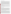#### **VERIFICATION TEST DESCRIPTION**

The Quick™ Low Range II test kit is an inexpensive, portable, rapid device designed for on-site analysis of arsenic in water. The Quick™ Low Range II test kit was verified in terms of its performance on the following parameters: accuracy, precision, linearity, method detection limit (MDL), matrix interference effects, operator bias, inter-unit reproducibility, and rate of false positives/false negatives. Results for two additional detection devices, the Quick™ Arsenic Scan and Compu-Scan, also were reported. All preparation and analyses were performed according to the manufacturer's recommended procedures. Results from the Quick™ Low Range II test kit were compared to those from the reference method to assess accuracy, linearity, and detection limit. Multiple aliquots of performance test samples and environmental samples were analyzed to assess precision. Matrix interference effects were assessed by challenging the test kit with performance test samples of known arsenic concentrations containing both low-level and high-level interferences. Identical sets of samples were analyzed independently by two separate operators (a technical and a non-technical Battelle staff member) to evaluate operator bias. All samples were analyzed using two Quick™ Arsenic Scan and Compu-Scan units to evaluate inter-unit reproducibility. False positives and negatives were evaluated relative to the 10-ppb maximum contaminant level for arsenic in drinking water. In addition to the analytical results, the time required for sample analysis and operator observations concerning the use of the test kit (e.g., frequency of calibration, ease of use, maintenance) were recorded.

Three types of samples were used in the verification test: quality control (QC) samples, performance test (PT) samples, and environmental water samples. The QC and PT samples were prepared from National Institute of Standards and Technology traceable purchased standards. The environmental water samples were collected from various drinking water and surface water sources. All samples were analyzed using the Quick™ Low Range II test kits and by a laboratory reference method.

QA oversight of verification testing was provided by Battelle. Battelle QA staff conducted a data quality audit of 10% of the test data, a performance evaluation audit, and a technical systems audit of the procedures used in this verification.

### **TECHNOLOGY DESCRIPTION**

The optimal detection range for the Quick™ Low Range II test kit is below 15 ppb arsenic. Dilution instructions are provided for samples with arsenic levels above 8 ppb. The recommended temperature range for sample analysis is 24°C to 30°C. A modified testing protocol is available for sample temperatures below this range. To perform arsenic analyses with the Quick™ Low Range II test kit, the water sample to be tested is mixed in the supplied reaction vessel with reagent #1 (tartaric acid with rate enhancers) to acidify the water sample. Reagent #2, an oxidizer (potassium peroxymonosulfate), is added to remove hydrogen sulfide interference. The test tolerates up to 2 ppm hydrogen sulfide without interference. Zinc powder, reagent #3, is added to reduce inorganic arsenic compounds  $(As<sup>+3</sup>$  and  $As<sup>+5</sup>)$  to arsine gas. As arsine gas is generated and comes in contact with the test strip, the mercuric bromide indicator on the test strip changes color from white to shades of yellow or brown. Material Safety Data Sheets (MSDS) for all reagents and test strips are provided with each test kit. The MSDSs include information on how to safely handle the reagents and test strips, including instructions for exposure controls and personal protection.

Once the reaction is completed, the test strip is removed and visually compared to a color chart to obtain a semiquantitative measure of the arsenic concentration in the tested sample. The color chart consists of a series of color blocks that correspond to concentrations ranging from 0.6 ppb to >100 ppb. The test strip may also be read with the Quick™ Arsenic Scan hand-held instrument, which operates on the same principle as a colorimeter and provides a quantitative result. The Quick™ Arsenic Scan is calibrated weekly using a calibration card provided by the manufacturer. Quantitative results may also be obtained from the test strip with a portable Compu-Scan scanner and laptop system. The scanned test strip image is converted to an arsenic concentration using the Home Port Computer System Arsenic Program Revision 5b software. The scanner is calibrated by the manufacturer. The Quick™ Arsenic Scan and Compu-Scan are not provided with the Quick™ Low Range II test kit as a standard feature. The standard test kit with the color chart was the subject of this verification test; however, results for the Quick™ Arsenic Scan and Compu-Scan were also provided. The test kits with the color charts are available in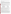sets of 50 tests with test strips provided in individually sealed packets. The typical shelf life of the kits is 24 months.

## **VERIFICATION OF PERFORMANCE**

**Accuracy:** The bias for the Quick™ Low Range II color chart ranged from -92% to -8% for the technical operator and -74% to 74% for the non-technical operator. The bias for the Quick™ Arsenic Scan ranged from 98% to -27% for the technical operator and -76 to 9% for the non-technical operator. The bias for the Compu-Scan ranged from -93% to 104% for the technical operator and from -67% to 81% for the non-technical operator. The overall agreement for the color chart results based on an assessment of whether the result was assigned to the correct color block indicated that the total percent agreement was 45% for the technical operator and 38% for the non-technical operator.

**Precision:** For the technical operator, relative standard deviations (RSDs) ranged from 0% to 55% for the color chart, 0% to 84% for the Quick™ Arsenic Scan, and 7% to 91% for the Compu-Scan. For the non-technical operator, RSDs ranged from 0% to 15% for the color chart, from 9% to 67% for the Quick™ Arsenic Scan, and from 14% to 55% for the Compu-Scan. These results exclude samples where one or more of the replicate results was not detected by the Quick™ Low Range II test kit.

Linearity: The linearity of response was evaluated by plotting the test kit results against the reference analysis results for the PT samples. The equations for the linear regressions that were performed to evaluate linearity are as follows, where *x* is the reference method concentration and *y* is the test kit concentration:

| Color chart, technical operator                             | $y = 0.79x - 0.03$ , R = 0.9904 |
|-------------------------------------------------------------|---------------------------------|
| Color chart, non-technical operator                         | $y = 0.71x + 7.29$ , R = 0.9038 |
| Quick <sup>™</sup> Arsenic Scan #1, technical operator      | $y = 0.42x + 0.29$ , R = 0.9619 |
| Quick <sup>™</sup> Arsenic Scan #2, technical operator      | $y = 0.40x + 0.19$ , R = 0.9776 |
| Quick <sup>TM</sup> Arsenic Scan #1, non-technical operator | $y = 0.71x + 2.45$ , R = 0.9826 |
| Compu-Scan #1, technical operator                           | $y = 0.33x + 1.03$ , R = 0.9043 |
| Compu-Scan #2, technical operator                           | $y = 0.40x + 3.05$ , R = 0.9063 |
| Compu-Scan #1, non-technical operator                       | $y = 0.67x + 1.39$ , R = 0.9174 |

**Method Detection Limit:** The MDL was assessed by analyzing seven replicates of a sample spiked at a level approximately five times the manufacturer's estimated detection limit for the color chart. The MDLs calculated using the precision data from these replicates ranged from 1.2 ppb to 1.5 ppb for the color chart, from 0.7 ppb to 2.1 ppb for the Quick™ Arsenic Scan, and from 0.5 ppb to 3.9 ppb for the Compu-Scan.

**Matrix Interference Effects:** Low and high levels of interferents did not appear to affect the detection of arsenic. Biases for these samples were similar to those calculated for PT samples containing arsenic only.

**Operator Bias:** Measurements for the color chart, Quick™ Arsenic Scan, and Compu-Scan done by the nontechnical operator tended to be higher than for the technical operator. A paired t-test of the two sets of data indicated that the results were significantly different at a 5% significance level.

**Inter-Unit Reproducibility:** The Quick™ Arsenic Scan results were more reproducible than the Compu-Scan results. Paired t-tests of the two sets of data indicated that the Quick™ Arsenic Scan results were not significantly different at a 5% significance level; however, the Compu-Scan results were significantly different.

**Rate of False Positives/False Negatives:** The false positive rates for the technical and non-technical operators using the color charts and Quick™ Arsenic Scan units were 0%. The rates of false positives for the Compu-Scan were 0% for both operators, except for Compu-Scan Unit #2, with a false positive rate of 3%. The false negative rates for the technical and non-technical operators using the color charts were 62% and 33%, respectively. The false negative rates for the Quick<sup>™</sup> Arsenic Scan units were 62% for the technical operator (Units #1 and #2) and 38% for the non-technical operator (Unit #1). The false negative rates for the Compu-Scan were 67% and 52% for the technical operator (Units #1 and #2, respectively) and 9.5% for the non-technical operator (Unit #1).